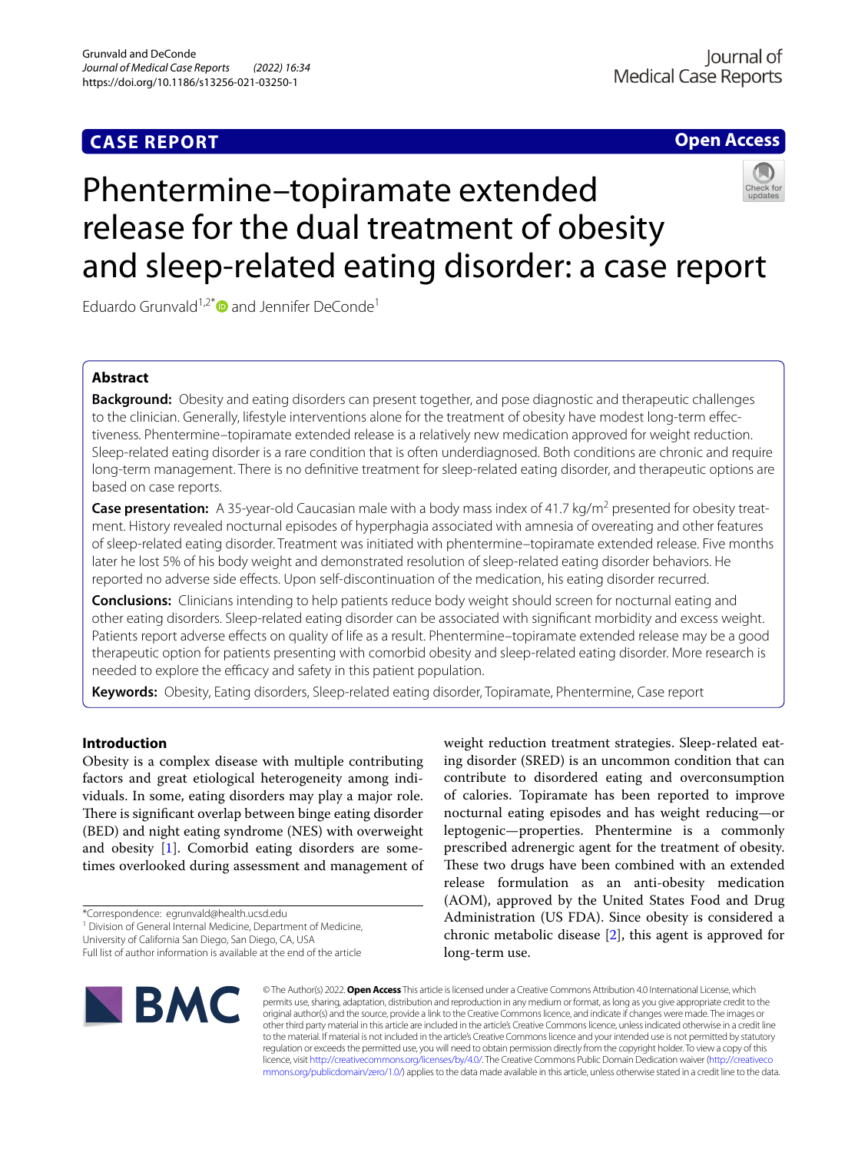## **CASE REPORT**

## **Open Access**

# Phentermine–topiramate extended release for the dual treatment of obesity and sleep-related eating disorder: a case report

Eduardo Grunvald<sup>1,2[\\*](http://orcid.org/0000-0001-9332-7069)</sup> $\bullet$  and Jennifer DeConde<sup>1</sup>

## **Abstract**

**Background:** Obesity and eating disorders can present together, and pose diagnostic and therapeutic challenges to the clinician. Generally, lifestyle interventions alone for the treatment of obesity have modest long-term efectiveness. Phentermine–topiramate extended release is a relatively new medication approved for weight reduction. Sleep-related eating disorder is a rare condition that is often underdiagnosed. Both conditions are chronic and require long-term management. There is no defnitive treatment for sleep-related eating disorder, and therapeutic options are based on case reports.

**Case presentation:** A 35-year-old Caucasian male with a body mass index of 41.7 kg/m<sup>2</sup> presented for obesity treatment. History revealed nocturnal episodes of hyperphagia associated with amnesia of overeating and other features of sleep-related eating disorder. Treatment was initiated with phentermine–topiramate extended release. Five months later he lost 5% of his body weight and demonstrated resolution of sleep-related eating disorder behaviors. He reported no adverse side efects. Upon self-discontinuation of the medication, his eating disorder recurred.

**Conclusions:** Clinicians intending to help patients reduce body weight should screen for nocturnal eating and other eating disorders. Sleep-related eating disorder can be associated with signifcant morbidity and excess weight. Patients report adverse efects on quality of life as a result. Phentermine–topiramate extended release may be a good therapeutic option for patients presenting with comorbid obesity and sleep-related eating disorder. More research is needed to explore the efficacy and safety in this patient population.

**Keywords:** Obesity, Eating disorders, Sleep-related eating disorder, Topiramate, Phentermine, Case report

### **Introduction**

Obesity is a complex disease with multiple contributing factors and great etiological heterogeneity among individuals. In some, eating disorders may play a major role. There is significant overlap between binge eating disorder (BED) and night eating syndrome (NES) with overweight and obesity [[1\]](#page-3-0). Comorbid eating disorders are sometimes overlooked during assessment and management of

University of California San Diego, San Diego, CA, USA

weight reduction treatment strategies. Sleep-related eating disorder (SRED) is an uncommon condition that can contribute to disordered eating and overconsumption of calories. Topiramate has been reported to improve nocturnal eating episodes and has weight reducing—or leptogenic—properties. Phentermine is a commonly prescribed adrenergic agent for the treatment of obesity. These two drugs have been combined with an extended release formulation as an anti-obesity medication (AOM), approved by the United States Food and Drug Administration (US FDA). Since obesity is considered a chronic metabolic disease [\[2](#page-3-1)], this agent is approved for long-term use.



© The Author(s) 2022. **Open Access** This article is licensed under a Creative Commons Attribution 4.0 International License, which permits use, sharing, adaptation, distribution and reproduction in any medium or format, as long as you give appropriate credit to the original author(s) and the source, provide a link to the Creative Commons licence, and indicate if changes were made. The images or other third party material in this article are included in the article's Creative Commons licence, unless indicated otherwise in a credit line to the material. If material is not included in the article's Creative Commons licence and your intended use is not permitted by statutory regulation or exceeds the permitted use, you will need to obtain permission directly from the copyright holder. To view a copy of this licence, visit [http://creativecommons.org/licenses/by/4.0/.](http://creativecommons.org/licenses/by/4.0/) The Creative Commons Public Domain Dedication waiver ([http://creativeco](http://creativecommons.org/publicdomain/zero/1.0/) [mmons.org/publicdomain/zero/1.0/](http://creativecommons.org/publicdomain/zero/1.0/)) applies to the data made available in this article, unless otherwise stated in a credit line to the data.

<sup>\*</sup>Correspondence: egrunvald@health.ucsd.edu

<sup>&</sup>lt;sup>1</sup> Division of General Internal Medicine, Department of Medicine,

Full list of author information is available at the end of the article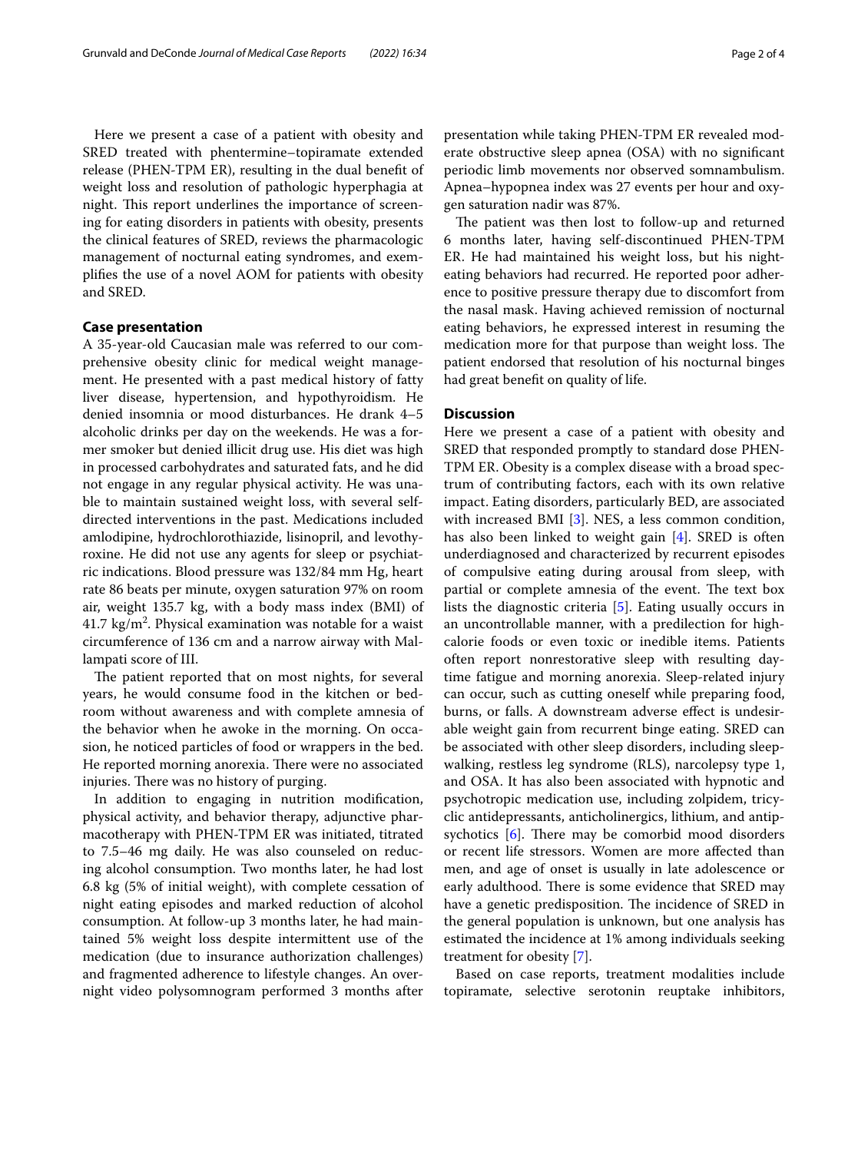Here we present a case of a patient with obesity and SRED treated with phentermine–topiramate extended release (PHEN-TPM ER), resulting in the dual beneft of weight loss and resolution of pathologic hyperphagia at night. This report underlines the importance of screening for eating disorders in patients with obesity, presents the clinical features of SRED, reviews the pharmacologic management of nocturnal eating syndromes, and exemplifes the use of a novel AOM for patients with obesity and SRED.

#### **Case presentation**

A 35-year-old Caucasian male was referred to our comprehensive obesity clinic for medical weight management. He presented with a past medical history of fatty liver disease, hypertension, and hypothyroidism. He denied insomnia or mood disturbances. He drank 4–5 alcoholic drinks per day on the weekends. He was a former smoker but denied illicit drug use. His diet was high in processed carbohydrates and saturated fats, and he did not engage in any regular physical activity. He was unable to maintain sustained weight loss, with several selfdirected interventions in the past. Medications included amlodipine, hydrochlorothiazide, lisinopril, and levothyroxine. He did not use any agents for sleep or psychiatric indications. Blood pressure was 132/84 mm Hg, heart rate 86 beats per minute, oxygen saturation 97% on room air, weight 135.7 kg, with a body mass index (BMI) of  $41.7 \text{ kg/m}^2$ . Physical examination was notable for a waist circumference of 136 cm and a narrow airway with Mallampati score of III.

The patient reported that on most nights, for several years, he would consume food in the kitchen or bedroom without awareness and with complete amnesia of the behavior when he awoke in the morning. On occasion, he noticed particles of food or wrappers in the bed. He reported morning anorexia. There were no associated injuries. There was no history of purging.

In addition to engaging in nutrition modifcation, physical activity, and behavior therapy, adjunctive pharmacotherapy with PHEN-TPM ER was initiated, titrated to 7.5–46 mg daily. He was also counseled on reducing alcohol consumption. Two months later, he had lost 6.8 kg (5% of initial weight), with complete cessation of night eating episodes and marked reduction of alcohol consumption. At follow-up 3 months later, he had maintained 5% weight loss despite intermittent use of the medication (due to insurance authorization challenges) and fragmented adherence to lifestyle changes. An overnight video polysomnogram performed 3 months after presentation while taking PHEN-TPM ER revealed moderate obstructive sleep apnea (OSA) with no signifcant periodic limb movements nor observed somnambulism. Apnea–hypopnea index was 27 events per hour and oxygen saturation nadir was 87%.

The patient was then lost to follow-up and returned 6 months later, having self-discontinued PHEN-TPM ER. He had maintained his weight loss, but his nighteating behaviors had recurred. He reported poor adherence to positive pressure therapy due to discomfort from the nasal mask. Having achieved remission of nocturnal eating behaviors, he expressed interest in resuming the medication more for that purpose than weight loss. The patient endorsed that resolution of his nocturnal binges had great beneft on quality of life.

#### **Discussion**

Here we present a case of a patient with obesity and SRED that responded promptly to standard dose PHEN-TPM ER. Obesity is a complex disease with a broad spectrum of contributing factors, each with its own relative impact. Eating disorders, particularly BED, are associated with increased BMI [[3\]](#page-3-2). NES, a less common condition, has also been linked to weight gain [\[4](#page-3-3)]. SRED is often underdiagnosed and characterized by recurrent episodes of compulsive eating during arousal from sleep, with partial or complete amnesia of the event. The text box lists the diagnostic criteria [[5\]](#page-3-4). Eating usually occurs in an uncontrollable manner, with a predilection for highcalorie foods or even toxic or inedible items. Patients often report nonrestorative sleep with resulting daytime fatigue and morning anorexia. Sleep-related injury can occur, such as cutting oneself while preparing food, burns, or falls. A downstream adverse effect is undesirable weight gain from recurrent binge eating. SRED can be associated with other sleep disorders, including sleepwalking, restless leg syndrome (RLS), narcolepsy type 1, and OSA. It has also been associated with hypnotic and psychotropic medication use, including zolpidem, tricyclic antidepressants, anticholinergics, lithium, and antipsychotics  $[6]$  $[6]$ . There may be comorbid mood disorders or recent life stressors. Women are more afected than men, and age of onset is usually in late adolescence or early adulthood. There is some evidence that SRED may have a genetic predisposition. The incidence of SRED in the general population is unknown, but one analysis has estimated the incidence at 1% among individuals seeking treatment for obesity [\[7](#page-3-6)].

Based on case reports, treatment modalities include topiramate, selective serotonin reuptake inhibitors,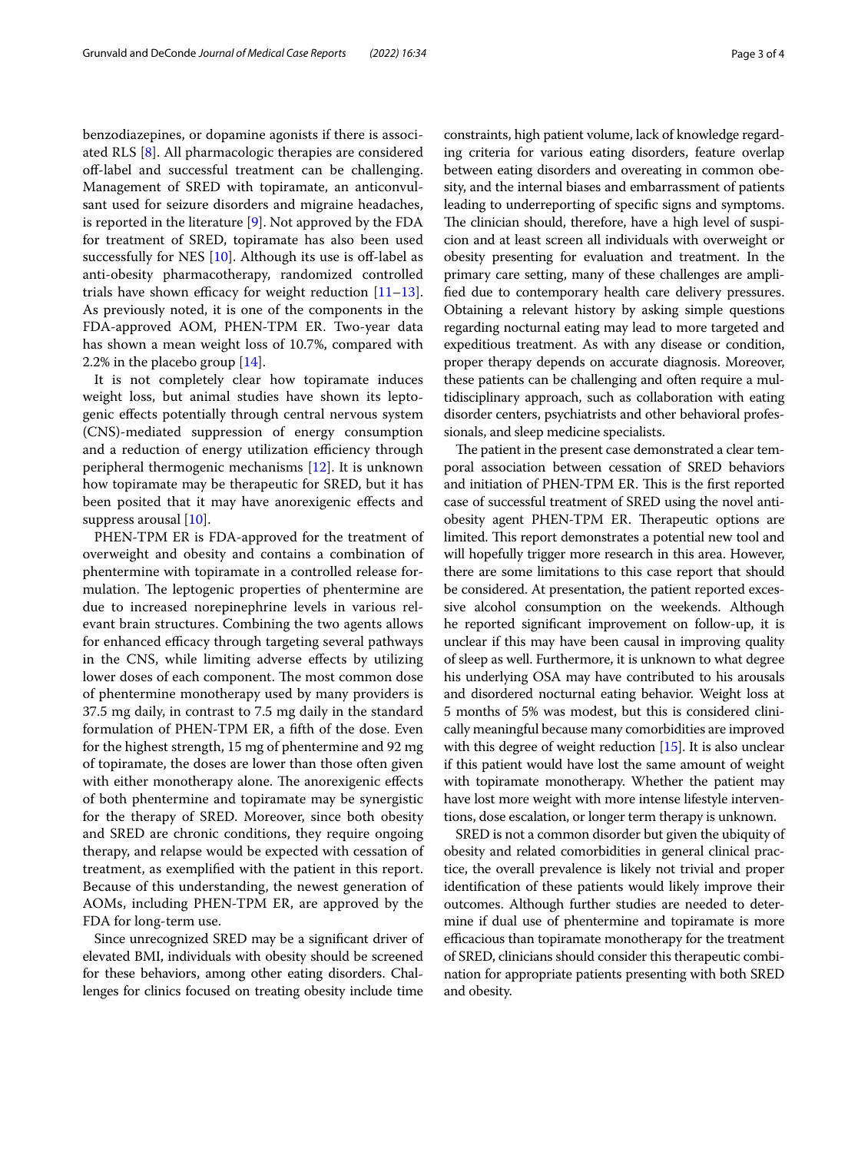benzodiazepines, or dopamine agonists if there is associated RLS [\[8](#page-3-7)]. All pharmacologic therapies are considered of-label and successful treatment can be challenging. Management of SRED with topiramate, an anticonvulsant used for seizure disorders and migraine headaches, is reported in the literature [\[9](#page-3-8)]. Not approved by the FDA for treatment of SRED, topiramate has also been used successfully for NES  $[10]$  $[10]$ . Although its use is off-label as anti-obesity pharmacotherapy, randomized controlled trials have shown efficacy for weight reduction  $[11-13]$  $[11-13]$  $[11-13]$ . As previously noted, it is one of the components in the FDA-approved AOM, PHEN-TPM ER. Two-year data has shown a mean weight loss of 10.7%, compared with 2.2% in the placebo group [\[14](#page-3-12)].

It is not completely clear how topiramate induces weight loss, but animal studies have shown its leptogenic efects potentially through central nervous system (CNS)-mediated suppression of energy consumption and a reduction of energy utilization efficiency through peripheral thermogenic mechanisms [\[12](#page-3-13)]. It is unknown how topiramate may be therapeutic for SRED, but it has been posited that it may have anorexigenic efects and suppress arousal [\[10](#page-3-9)].

PHEN-TPM ER is FDA-approved for the treatment of overweight and obesity and contains a combination of phentermine with topiramate in a controlled release formulation. The leptogenic properties of phentermine are due to increased norepinephrine levels in various relevant brain structures. Combining the two agents allows for enhanced efficacy through targeting several pathways in the CNS, while limiting adverse efects by utilizing lower doses of each component. The most common dose of phentermine monotherapy used by many providers is 37.5 mg daily, in contrast to 7.5 mg daily in the standard formulation of PHEN-TPM ER, a ffth of the dose. Even for the highest strength, 15 mg of phentermine and 92 mg of topiramate, the doses are lower than those often given with either monotherapy alone. The anorexigenic effects of both phentermine and topiramate may be synergistic for the therapy of SRED. Moreover, since both obesity and SRED are chronic conditions, they require ongoing therapy, and relapse would be expected with cessation of treatment, as exemplifed with the patient in this report. Because of this understanding, the newest generation of AOMs, including PHEN-TPM ER, are approved by the FDA for long-term use.

Since unrecognized SRED may be a signifcant driver of elevated BMI, individuals with obesity should be screened for these behaviors, among other eating disorders. Challenges for clinics focused on treating obesity include time constraints, high patient volume, lack of knowledge regarding criteria for various eating disorders, feature overlap between eating disorders and overeating in common obesity, and the internal biases and embarrassment of patients leading to underreporting of specifc signs and symptoms. The clinician should, therefore, have a high level of suspicion and at least screen all individuals with overweight or obesity presenting for evaluation and treatment. In the primary care setting, many of these challenges are amplifed due to contemporary health care delivery pressures. Obtaining a relevant history by asking simple questions regarding nocturnal eating may lead to more targeted and expeditious treatment. As with any disease or condition, proper therapy depends on accurate diagnosis. Moreover, these patients can be challenging and often require a multidisciplinary approach, such as collaboration with eating disorder centers, psychiatrists and other behavioral professionals, and sleep medicine specialists.

The patient in the present case demonstrated a clear temporal association between cessation of SRED behaviors and initiation of PHEN-TPM ER. This is the first reported case of successful treatment of SRED using the novel antiobesity agent PHEN-TPM ER. Therapeutic options are limited. This report demonstrates a potential new tool and will hopefully trigger more research in this area. However, there are some limitations to this case report that should be considered. At presentation, the patient reported excessive alcohol consumption on the weekends. Although he reported signifcant improvement on follow-up, it is unclear if this may have been causal in improving quality of sleep as well. Furthermore, it is unknown to what degree his underlying OSA may have contributed to his arousals and disordered nocturnal eating behavior. Weight loss at 5 months of 5% was modest, but this is considered clinically meaningful because many comorbidities are improved with this degree of weight reduction [[15](#page-3-14)]. It is also unclear if this patient would have lost the same amount of weight with topiramate monotherapy. Whether the patient may have lost more weight with more intense lifestyle interventions, dose escalation, or longer term therapy is unknown.

SRED is not a common disorder but given the ubiquity of obesity and related comorbidities in general clinical practice, the overall prevalence is likely not trivial and proper identifcation of these patients would likely improve their outcomes. Although further studies are needed to determine if dual use of phentermine and topiramate is more efficacious than topiramate monotherapy for the treatment of SRED, clinicians should consider this therapeutic combination for appropriate patients presenting with both SRED and obesity.